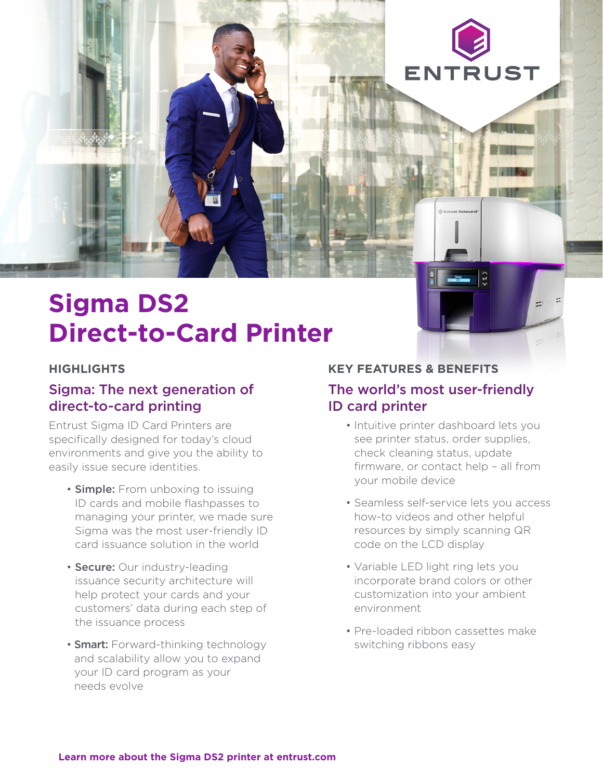

**Q** Entrust Dataca

 $\frac{1}{2}$ 

# **Sigma DS2 Direct-to-Card Printer**

#### **HIGHLIGHTS**

## Sigma: The next generation of direct-to-card printing

Entrust Sigma ID Card Printers are specifically designed for today's cloud environments and give you the ability to easily issue secure identities.

- **Simple:** From unboxing to issuing ID cards and mobile flashpasses to managing your printer, we made sure Sigma was the most user-friendly ID card issuance solution in the world
- Secure: Our industry-leading issuance security architecture will help protect your cards and your customers' data during each step of the issuance process
- **Smart:** Forward-thinking technology and scalability allow you to expand your ID card program as your needs evolve

#### **KEY FEATURES & BENEFITS**

## The world's most user-friendly ID card printer

- Intuitive printer dashboard lets you see printer status, order supplies, check cleaning status, update firmware, or contact help – all from your mobile device
- Seamless self-service lets you access how-to videos and other helpful resources by simply scanning QR code on the LCD display
- Variable LED light ring lets you incorporate brand colors or other customization into your ambient environment
- Pre-loaded ribbon cassettes make switching ribbons easy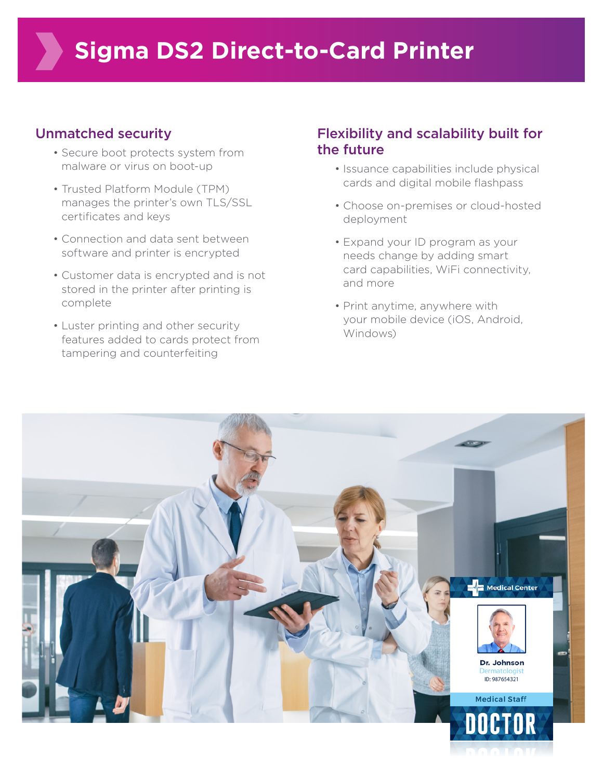## Unmatched security

- Secure boot protects system from malware or virus on boot-up
- Trusted Platform Module (TPM) manages the printer's own TLS/SSL certificates and keys
- Connection and data sent between software and printer is encrypted
- Customer data is encrypted and is not stored in the printer after printing is complete
- Luster printing and other security features added to cards protect from tampering and counterfeiting

# Flexibility and scalability built for the future

- Issuance capabilities include physical cards and digital mobile flashpass
- Choose on-premises or cloud-hosted deployment
- Expand your ID program as your needs change by adding smart card capabilities, WiFi connectivity, and more
- Print anytime, anywhere with your mobile device (iOS, Android, Windows)

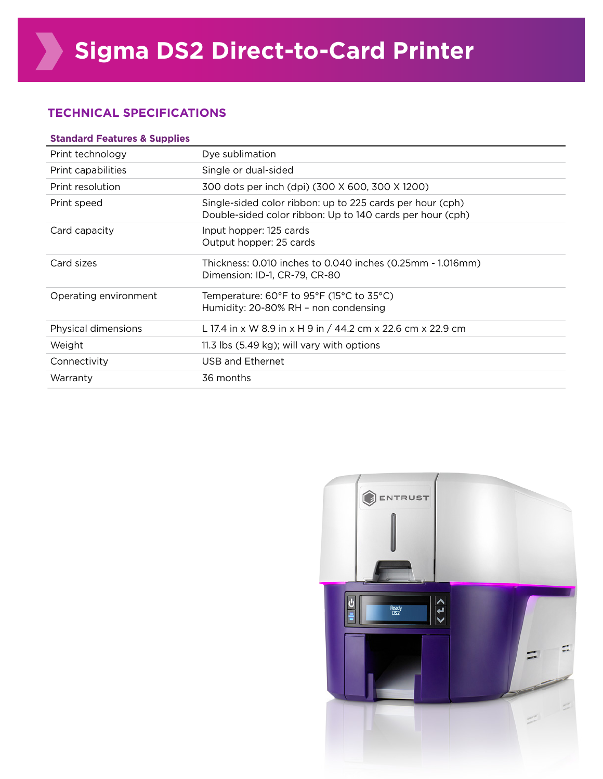#### **TECHNICAL SPECIFICATIONS**

| <b>Standard Features &amp; Supplies</b> |                                                                                                                             |  |
|-----------------------------------------|-----------------------------------------------------------------------------------------------------------------------------|--|
| Print technology                        | Dye sublimation                                                                                                             |  |
| Print capabilities                      | Single or dual-sided                                                                                                        |  |
| Print resolution                        | 300 dots per inch (dpi) (300 X 600, 300 X 1200)                                                                             |  |
| Print speed                             | Single-sided color ribbon: up to 225 cards per hour (cph)<br>Double-sided color ribbon: Up to 140 cards per hour (cph)      |  |
| Card capacity                           | Input hopper: 125 cards<br>Output hopper: 25 cards                                                                          |  |
| Card sizes                              | Thickness: 0.010 inches to 0.040 inches (0.25mm - 1.016mm)<br>Dimension: ID-1, CR-79, CR-80                                 |  |
| Operating environment                   | Temperature: $60^{\circ}$ F to 95 $^{\circ}$ F (15 $^{\circ}$ C to 35 $^{\circ}$ C)<br>Humidity: 20-80% RH - non condensing |  |
| Physical dimensions                     | L 17.4 in x W 8.9 in x H 9 in / 44.2 cm x 22.6 cm x 22.9 cm                                                                 |  |
| Weight                                  | 11.3 lbs (5.49 kg); will vary with options                                                                                  |  |
| Connectivity                            | USB and Ethernet                                                                                                            |  |
| Warranty                                | 36 months                                                                                                                   |  |